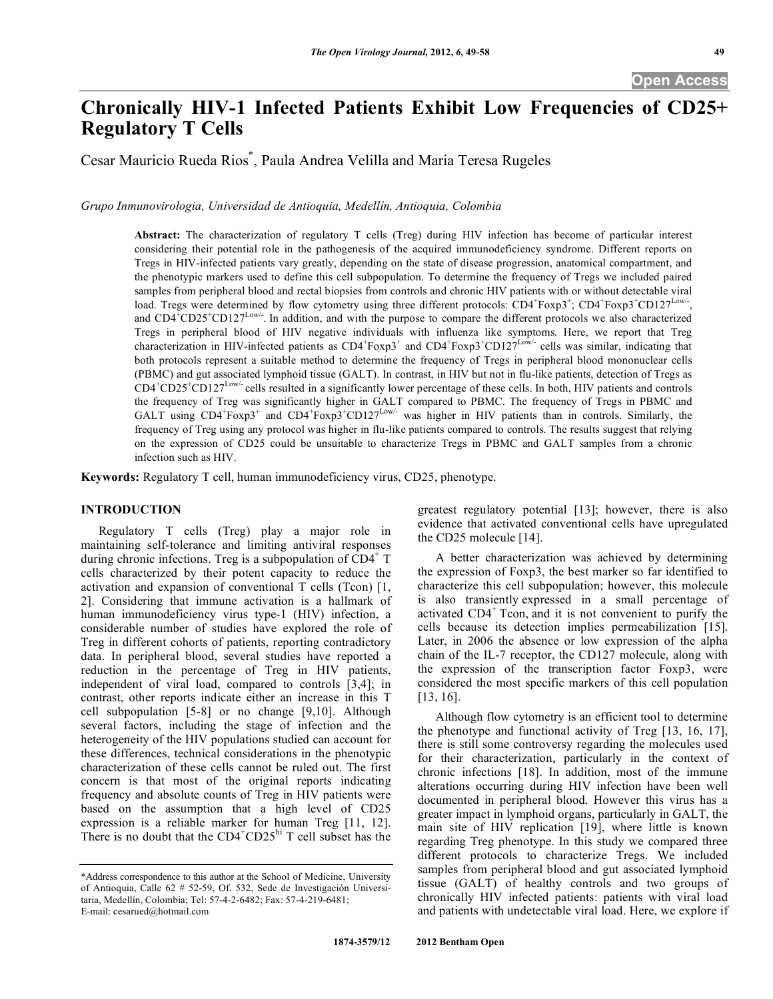# **Chronically HIV-1 Infected Patients Exhibit Low Frequencies of CD25+ Regulatory T Cells**

Cesar Mauricio Rueda Rios\* , Paula Andrea Velilla and Maria Teresa Rugeles

*Grupo Inmunovirologia, Universidad de Antioquia, Medellín, Antioquia, Colombia* 

**Abstract:** The characterization of regulatory T cells (Treg) during HIV infection has become of particular interest considering their potential role in the pathogenesis of the acquired immunodeficiency syndrome. Different reports on Tregs in HIV-infected patients vary greatly, depending on the state of disease progression, anatomical compartment, and the phenotypic markers used to define this cell subpopulation. To determine the frequency of Tregs we included paired samples from peripheral blood and rectal biopsies from controls and chronic HIV patients with or without detectable viral load. Tregs were determined by flow cytometry using three different protocols:  $CD4^+F\alpha p3^+$ ;  $CD4^+F\alpha p3^+CD127^{Low/-}$ , and  $CD4+CD25+CD127^{Low/-}$ . In addition, and with the purpose to compare the different protocols we also characterized Tregs in peripheral blood of HIV negative individuals with influenza like symptoms. Here, we report that Treg characterization in HIV-infected patients as  $CD4+Foxp3+$  and  $CD4+Foxp3+CD127^{Low/-}$  cells was similar, indicating that both protocols represent a suitable method to determine the frequency of Tregs in peripheral blood mononuclear cells (PBMC) and gut associated lymphoid tissue (GALT). In contrast, in HIV but not in flu-like patients, detection of Tregs as  $CD4^+CD25^+CD127^{Low}$  cells resulted in a significantly lower percentage of these cells. In both, HIV patients and controls the frequency of Treg was significantly higher in GALT compared to PBMC. The frequency of Tregs in PBMC and GALT using  $CD4^+$ Foxp3<sup>+</sup> and  $CD4^+$ Foxp3<sup>+</sup>CD127<sup>Low/-</sup> was higher in HIV patients than in controls. Similarly, the frequency of Treg using any protocol was higher in flu-like patients compared to controls. The results suggest that relying on the expression of CD25 could be unsuitable to characterize Tregs in PBMC and GALT samples from a chronic infection such as HIV.

**Keywords:** Regulatory T cell, human immunodeficiency virus, CD25, phenotype.

## **INTRODUCTION**

 Regulatory T cells (Treg) play a major role in maintaining self-tolerance and limiting antiviral responses during chronic infections. Treg is a subpopulation of  $\overline{CD4}^+$  T cells characterized by their potent capacity to reduce the activation and expansion of conventional  $T$  cells (Tcon)  $[1, 1]$ 2]. Considering that immune activation is a hallmark of human immunodeficiency virus type-1 (HIV) infection, a considerable number of studies have explored the role of Treg in different cohorts of patients, reporting contradictory data. In peripheral blood, several studies have reported a reduction in the percentage of Treg in HIV patients, independent of viral load, compared to controls [3,4]; in contrast, other reports indicate either an increase in this T cell subpopulation [5-8] or no change [9,10]. Although several factors, including the stage of infection and the heterogeneity of the HIV populations studied can account for these differences, technical considerations in the phenotypic characterization of these cells cannot be ruled out. The first concern is that most of the original reports indicating frequency and absolute counts of Treg in HIV patients were based on the assumption that a high level of CD25 expression is a reliable marker for human Treg [11, 12]. There is no doubt that the  $CD4^+CD25^{\text{hi}}$  T cell subset has the greatest regulatory potential [13]; however, there is also evidence that activated conventional cells have upregulated the CD25 molecule [14].

 A better characterization was achieved by determining the expression of Foxp3, the best marker so far identified to characterize this cell subpopulation; however, this molecule is also transiently expressed in a small percentage of activated CD4<sup>+</sup> Tcon, and it is not convenient to purify the cells because its detection implies permeabilization [15]. Later, in 2006 the absence or low expression of the alpha chain of the IL-7 receptor, the CD127 molecule, along with the expression of the transcription factor Foxp3, were considered the most specific markers of this cell population [13, 16].

 Although flow cytometry is an efficient tool to determine the phenotype and functional activity of Treg [13, 16, 17], there is still some controversy regarding the molecules used for their characterization, particularly in the context of chronic infections [18]. In addition, most of the immune alterations occurring during HIV infection have been well documented in peripheral blood. However this virus has a greater impact in lymphoid organs, particularly in GALT, the main site of HIV replication [19], where little is known regarding Treg phenotype. In this study we compared three different protocols to characterize Tregs. We included samples from peripheral blood and gut associated lymphoid tissue (GALT) of healthy controls and two groups of chronically HIV infected patients: patients with viral load and patients with undetectable viral load. Here, we explore if

<sup>\*</sup>Address correspondence to this author at the School of Medicine, University of Antioquia, Calle 62 # 52-59, Of. 532, Sede de Investigación Universitaria, Medellín, Colombia; Tel: 57-4-2-6482; Fax: 57-4-219-6481; E-mail: cesarued@hotmail.com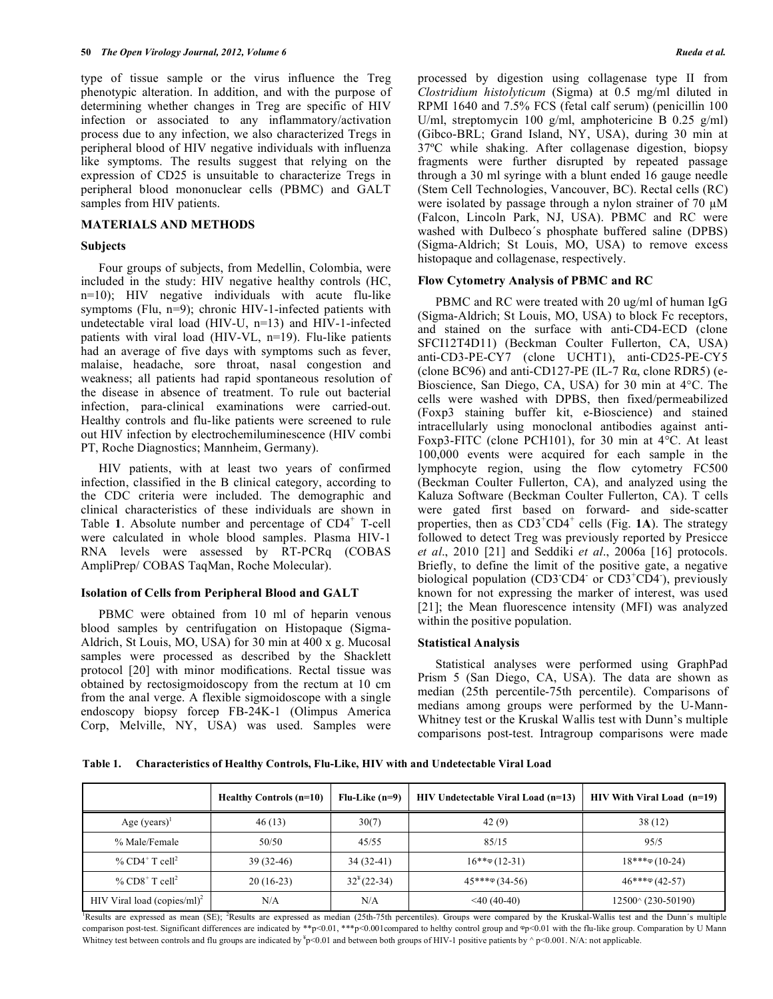type of tissue sample or the virus influence the Treg phenotypic alteration. In addition, and with the purpose of determining whether changes in Treg are specific of HIV infection or associated to any inflammatory/activation process due to any infection, we also characterized Tregs in peripheral blood of HIV negative individuals with influenza like symptoms. The results suggest that relying on the expression of CD25 is unsuitable to characterize Tregs in peripheral blood mononuclear cells (PBMC) and GALT samples from HIV patients.

## **MATERIALS AND METHODS**

## **Subjects**

 Four groups of subjects, from Medellin, Colombia, were included in the study: HIV negative healthy controls (HC,  $n=10$ ); HIV negative individuals with acute flu-like symptoms (Flu, n=9); chronic HIV-1-infected patients with undetectable viral load (HIV-U, n=13) and HIV-1-infected patients with viral load (HIV-VL, n=19). Flu-like patients had an average of five days with symptoms such as fever, malaise, headache, sore throat, nasal congestion and weakness; all patients had rapid spontaneous resolution of the disease in absence of treatment. To rule out bacterial infection, para-clinical examinations were carried-out. Healthy controls and flu-like patients were screened to rule out HIV infection by electrochemiluminescence (HIV combi PT, Roche Diagnostics; Mannheim, Germany).

 HIV patients, with at least two years of confirmed infection, classified in the B clinical category, according to the CDC criteria were included. The demographic and clinical characteristics of these individuals are shown in Table 1. Absolute number and percentage of CD4<sup>+</sup> T-cell were calculated in whole blood samples. Plasma HIV-1 RNA levels were assessed by RT-PCRq (COBAS AmpliPrep/ COBAS TaqMan, Roche Molecular).

# **Isolation of Cells from Peripheral Blood and GALT**

 PBMC were obtained from 10 ml of heparin venous blood samples by centrifugation on Histopaque (Sigma-Aldrich, St Louis, MO, USA) for 30 min at 400 x g. Mucosal samples were processed as described by the Shacklett protocol [20] with minor modifications. Rectal tissue was obtained by rectosigmoidoscopy from the rectum at 10 cm from the anal verge. A flexible sigmoidoscope with a single endoscopy biopsy forcep FB-24K-1 (Olimpus America Corp, Melville, NY, USA) was used. Samples were

processed by digestion using collagenase type II from *Clostridium histolyticum* (Sigma) at 0.5 mg/ml diluted in RPMI 1640 and 7.5% FCS (fetal calf serum) (penicillin 100 U/ml, streptomycin 100 g/ml, amphotericine B 0.25 g/ml) (Gibco-BRL; Grand Island, NY, USA), during 30 min at 37ºC while shaking. After collagenase digestion, biopsy fragments were further disrupted by repeated passage through a 30 ml syringe with a blunt ended 16 gauge needle (Stem Cell Technologies, Vancouver, BC). Rectal cells (RC) were isolated by passage through a nylon strainer of 70  $\mu$ M (Falcon, Lincoln Park, NJ, USA). PBMC and RC were washed with Dulbeco´s phosphate buffered saline (DPBS) (Sigma-Aldrich; St Louis, MO, USA) to remove excess histopaque and collagenase, respectively.

# **Flow Cytometry Analysis of PBMC and RC**

 PBMC and RC were treated with 20 ug/ml of human IgG (Sigma-Aldrich; St Louis, MO, USA) to block Fc receptors, and stained on the surface with anti-CD4-ECD (clone SFCI12T4D11) (Beckman Coulter Fullerton, CA, USA) anti-CD3-PE-CY7 (clone UCHT1), anti-CD25-PE-CY5  $\left($  clone BC96 $\right)$  and anti-CD127-PE (IL-7 R $\alpha$ , clone RDR5) (e-Bioscience, San Diego, CA, USA) for 30 min at 4°C. The cells were washed with DPBS, then fixed/permeabilized (Foxp3 staining buffer kit, e-Bioscience) and stained intracellularly using monoclonal antibodies against anti-Foxp3-FITC (clone PCH101), for 30 min at 4°C. At least 100,000 events were acquired for each sample in the lymphocyte region, using the flow cytometry FC500 (Beckman Coulter Fullerton, CA), and analyzed using the Kaluza Software (Beckman Coulter Fullerton, CA). T cells were gated first based on forward- and side-scatter properties, then as CD3<sup>+</sup>CD4<sup>+</sup> cells (Fig. 1A). The strategy followed to detect Treg was previously reported by Presicce *et al*., 2010 [21] and Seddiki *et al*., 2006a [16] protocols. Briefly, to define the limit of the positive gate, a negative biological population (CD3 CD4 or CD3<sup>+</sup>CD4), previously known for not expressing the marker of interest, was used [21]; the Mean fluorescence intensity (MFI) was analyzed within the positive population.

# **Statistical Analysis**

 Statistical analyses were performed using GraphPad Prism 5 (San Diego, CA, USA). The data are shown as median (25th percentile-75th percentile). Comparisons of medians among groups were performed by the U-Mann-Whitney test or the Kruskal Wallis test with Dunn's multiple comparisons post-test. Intragroup comparisons were made

**Table 1. Characteristics of Healthy Controls, Flu-Like, HIV with and Undetectable Viral Load** 

|                                         | Healthy Controls (n=10) | $Flu-Like(n=9)$ | HIV Undetectable Viral Load (n=13) | HIV With Viral Load (n=19)  |
|-----------------------------------------|-------------------------|-----------------|------------------------------------|-----------------------------|
| Age $(years)^{1}$                       | 46(13)                  | 30(7)           | 42(9)                              | 38(12)                      |
| % Male/Female                           | 50/50                   | 45/55           | 85/15                              | 95/5                        |
| % CD4 <sup>+</sup> T cell <sup>2</sup>  | $39(32-46)$             | $34(32-41)$     | $16***(12-31)$                     | $18***\circ(10-24)$         |
| % $CD8^+$ T cell <sup>2</sup>           | $20(16-23)$             | $32^{4}(22-34)$ | $45***\varphi(34-56)$              | $46***\circ (42-57)$        |
| HIV Viral load (copies/ml) <sup>2</sup> | N/A                     | N/A             | $<$ 40 (40-40)                     | $12500^{\circ}$ (230-50190) |

Results are expressed as mean (SE); <sup>2</sup>Results are expressed as median (25th-75th percentiles). Groups were compared by the Kruskal-Wallis test and the Dunn's multiple comparison post-test. Significant differences are indicated by \*\*p<0.01, \*\*\*p<0.001compared to helthy control group and  $\Phi$ p<0.01 with the flu-like group. Comparation by U Mann Whitney test between controls and flu groups are indicated by  $y^2p<0.01$  and between both groups of HIV-1 positive patients by  $\gamma p<0.001$ . N/A: not applicable.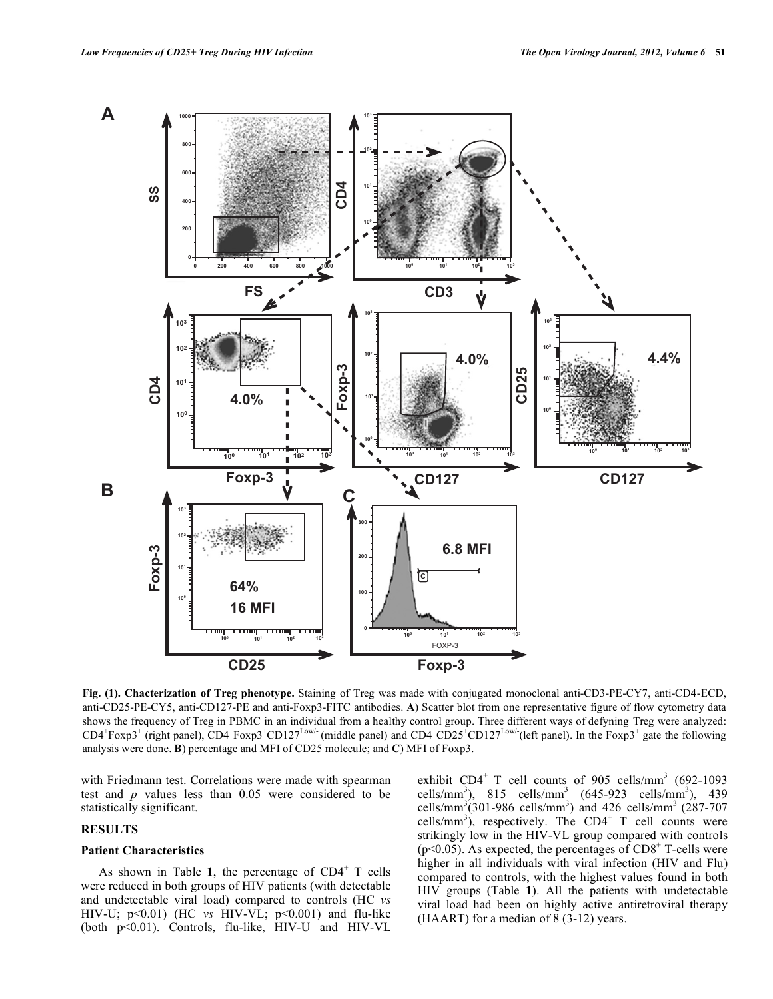

**Fig. (1). Chacterization of Treg phenotype.** Staining of Treg was made with conjugated monoclonal anti-CD3-PE-CY7, anti-CD4-ECD, anti-CD25-PE-CY5, anti-CD127-PE and anti-Foxp3-FITC antibodies. **A**) Scatter blot from one representative figure of flow cytometry data shows the frequency of Treg in PBMC in an individual from a healthy control group. Three different ways of defyning Treg were analyzed:  $CD4^+$ Foxp3<sup>+</sup> (right panel),  $CD4^+$ Foxp3<sup>+</sup>CD127<sup>Low/-</sup> (middle panel) and  $CD4^+$ CD25<sup>+</sup>CD127<sup>Low/-</sup>(left panel). In the Foxp3<sup>+</sup> gate the following analysis were done. **B**) percentage and MFI of CD25 molecule; and **C**) MFI of Foxp3.

with Friedmann test. Correlations were made with spearman test and *p* values less than 0.05 were considered to be statistically significant.

#### **RESULTS**

# **Patient Characteristics**

As shown in Table 1, the percentage of  $CD4^+$  T cells were reduced in both groups of HIV patients (with detectable and undetectable viral load) compared to controls (HC *vs* HIV-U; p<0.01) (HC *vs* HIV-VL; p<0.001) and flu-like (both p<0.01). Controls, flu-like, HIV-U and HIV-VL

exhibit  $CD4^+$  T cell counts of 905 cells/mm<sup>3</sup> (692-1093) cells/mm<sup>3</sup>), 815 cells/mm<sup>3</sup> (645-923 cells/mm<sup>3</sup>), 439 cells/mm<sup>3</sup> $(301-986 \text{ cells/mm}^3)$  and 426 cells/mm<sup>3</sup>  $(287-707$ cells/mm<sup>3</sup>), respectively. The CD4<sup>+</sup> T cell counts were strikingly low in the HIV-VL group compared with controls  $(p<0.05)$ . As expected, the percentages of CD8<sup>+</sup> T-cells were higher in all individuals with viral infection (HIV and Flu) compared to controls, with the highest values found in both HIV groups (Table **1**). All the patients with undetectable viral load had been on highly active antiretroviral therapy (HAART) for a median of 8 (3-12) years.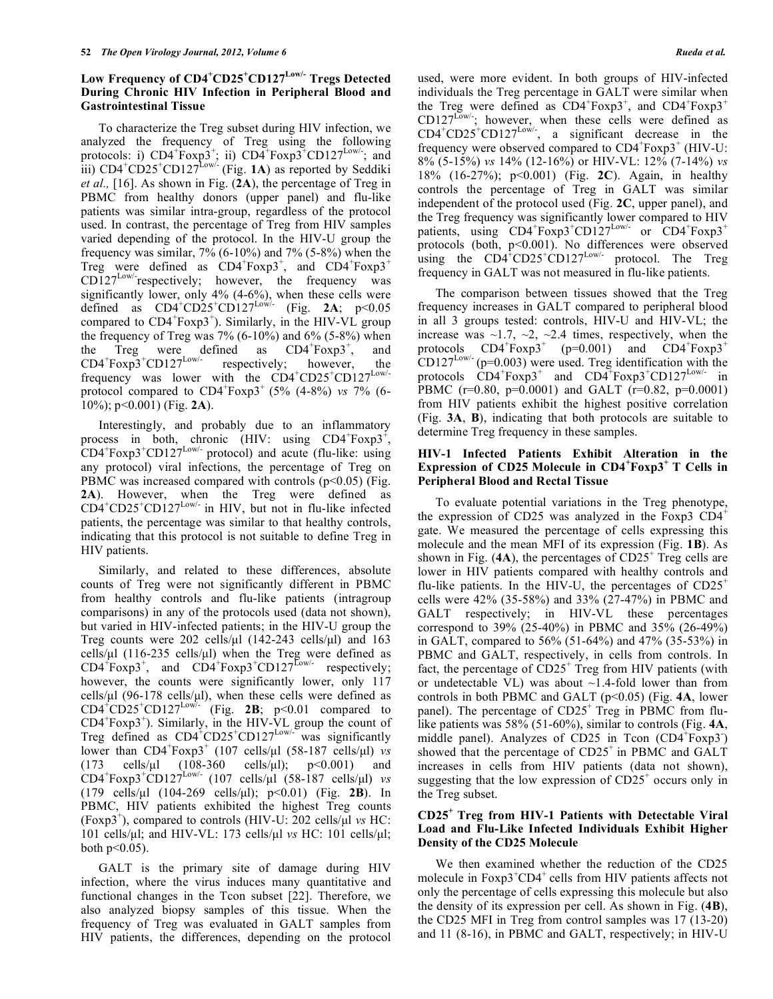# **Low Frequency of CD4<sup>+</sup> CD25<sup>+</sup> CD127Low/- Tregs Detected During Chronic HIV Infection in Peripheral Blood and Gastrointestinal Tissue**

 To characterize the Treg subset during HIV infection, we analyzed the frequency of Treg using the following protocols: i)  $CD4+\text{Foxp3}^+$ ; ii)  $CD4+\text{Foxp3}^+CD127^{\text{Low}/}$ ; and  $\lim_{\text{ii)}$  CD4<sup>+</sup>CD25<sup>+</sup>CD127<sup>Low/-</sup> (Fig. 1A) as reported by Seddiki *et al.,* [16]. As shown in Fig. (**2A**), the percentage of Treg in PBMC from healthy donors (upper panel) and flu-like patients was similar intra-group, regardless of the protocol used. In contrast, the percentage of Treg from HIV samples varied depending of the protocol. In the HIV-U group the frequency was similar,  $7\%$  (6-10%) and  $7\%$  (5-8%) when the Treg were defined as  $CD4+F\alpha p3$ <sup>+</sup>, and  $CD4+F\alpha p3$ <sup>+</sup>  $CD127^{Low}$  respectively; however, the frequency was significantly lower, only 4% (4-6%), when these cells were defined as  $CD4^+CD25^+CD127^{Low/-}$  (Fig. 2A;  $p<0.05$ ) compared to  $CD4+F\exp 3^+$ ). Similarly, in the HIV-VL group the frequency of Treg was  $7\%$  (6-10%) and 6% (5-8%) when the Treg were defined as  $CD4+F\alpha x p3$ <sup>+</sup> , and  $CD4+Foxp3+CD127^{Low/-}$  respectively; however, the frequency was lower with the CD4<sup>+</sup>CD25<sup>+</sup>CD127<sup>Low/-</sup> protocol compared to CD4<sup>+</sup>Foxp3<sup>+</sup> (5% (4-8%) *vs* 7% (6-10%); p<0.001) (Fig. **2A**).

 Interestingly, and probably due to an inflammatory process in both, chronic (HIV: using  $CD4 + Foxp3 +$ ,  $CD4+F\exp 3+CD127^{\text{Low}}$  protocol) and acute (flu-like: using any protocol) viral infections, the percentage of Treg on PBMC was increased compared with controls  $(p<0.05)$  (Fig. **2A**). However, when the Treg were defined as  $CD4^+CD25^+CD127^{Low/-}$  in HIV, but not in flu-like infected patients, the percentage was similar to that healthy controls, indicating that this protocol is not suitable to define Treg in HIV patients.

 Similarly, and related to these differences, absolute counts of Treg were not significantly different in PBMC from healthy controls and flu-like patients (intragroup comparisons) in any of the protocols used (data not shown), but varied in HIV-infected patients; in the HIV-U group the Treg counts were  $202$  cells/ $\mu$ l (142-243 cells/ $\mu$ l) and 163 cells/ $\mu$ l (116-235 cells/ $\mu$ l) when the Treg were defined as  $CD4 + Foxp3$ <sup>+</sup>, and  $CD4 + Foxp3 + CD127$ <sup>Low/-</sup> respectively; however, the counts were significantly lower, only 117 cells/ $\mu$ l (96-178 cells/ $\mu$ l), when these cells were defined as  $CD4^+CD25^+CD127^{Low/-}$  (Fig. **2B**;  $p<0.01$  compared to  $CD4+Foxp3$ <sup>+</sup>). Similarly, in the HIV-VL group the count of Treg defined as  $CD4^+CD25^+CD127^{\text{Low/-}}$  was significantly lower than CD4<sup>+</sup>Foxp3<sup>+</sup> (107 cells/μl (58-187 cells/μl) *vs* (173 cells/ $\mu$ l (108-360 cells/ $\mu$ l);  $p < 0.001$ ) and  $CD4 + Foxp3 + CD127$ <sup>Low</sup>/ $(107 \text{ cells/µl} (58-187 \text{ cells/µl})$  *vs* (179 cells/μl (104-269 cells/μl); p<0.01) (Fig. **2B**). In PBMC, HIV patients exhibited the highest Treg counts (Foxp3<sup>+</sup> ), compared to controls (HIV-U: 202 cells/μl *vs* HC: 101 cells/μl; and HIV-VL: 173 cells/μl *vs* HC: 101 cells/μl; both  $p<0.05$ ).

 GALT is the primary site of damage during HIV infection, where the virus induces many quantitative and functional changes in the Tcon subset [22]. Therefore, we also analyzed biopsy samples of this tissue. When the frequency of Treg was evaluated in GALT samples from HIV patients, the differences, depending on the protocol

used, were more evident. In both groups of HIV-infected individuals the Treg percentage in GALT were similar when the Treg were defined as  $\overline{CD4}^+$ Foxp3<sup>+</sup>, and  $CD4^+$ Foxp3<sup>+</sup>  $CD127^{\text{Low/}}$ ; however, when these cells were defined as  $CD4^+CD25^+CD127^{Low/-}$ , a significant decrease in the frequency were observed compared to  $CD4+Foxp3+$  (HIV-U: 8% (5-15%) *vs* 14% (12-16%) or HIV-VL: 12% (7-14%) *vs* 18% (16-27%); p<0.001) (Fig. **2C**). Again, in healthy controls the percentage of Treg in GALT was similar independent of the protocol used (Fig. **2C**, upper panel), and the Treg frequency was significantly lower compared to HIV patients, using CD4<sup>+</sup>Foxp3<sup>+</sup>CD127<sup>Low/-</sup> or CD4<sup>+</sup>Foxp3<sup>+</sup> protocols (both, p<0.001). No differences were observed using the  $CD4^{\dagger}CD25^{\dagger}CD127^{\text{Low/-}}$  protocol. The Treg frequency in GALT was not measured in flu-like patients.

 The comparison between tissues showed that the Treg frequency increases in GALT compared to peripheral blood in all 3 groups tested: controls, HIV-U and HIV-VL; the increase was  $\sim$ 1.7,  $\sim$ 2,  $\sim$ 2.4 times, respectively, when the protocols  $CD4^+$ Foxp3<sup>+</sup> (p=0.001) and  $CD4^+$ Foxp3<sup>+</sup>  $CD127^{\text{Low} -}$  (p=0.003) were used. Treg identification with the protocols  $\text{CD4}^+ \text{Foxp3}^+$  and  $\text{CD4}^+ \text{Foxp3}^+ \text{CD127}^{\text{Low} -}$  in PBMC (r=0.80, p=0.0001) and GALT (r=0.82, p=0.0001) from HIV patients exhibit the highest positive correlation (Fig. **3A**, **B**), indicating that both protocols are suitable to determine Treg frequency in these samples.

# **HIV-1 Infected Patients Exhibit Alteration in the Expression of CD25 Molecule in CD4<sup>+</sup> Foxp3+ T Cells in Peripheral Blood and Rectal Tissue**

 To evaluate potential variations in the Treg phenotype, the expression of CD25 was analyzed in the Foxp3  $CD4^+$ gate. We measured the percentage of cells expressing this molecule and the mean MFI of its expression (Fig. **1B**). As shown in Fig.  $(4A)$ , the percentages of  $CD25<sup>+</sup>$  Treg cells are lower in HIV patients compared with healthy controls and flu-like patients. In the HIV-U, the percentages of  $CD25^+$ cells were 42% (35-58%) and 33% (27-47%) in PBMC and GALT respectively; in HIV-VL these percentages correspond to 39% (25-40%) in PBMC and 35% (26-49%) in GALT, compared to 56% (51-64%) and 47% (35-53%) in PBMC and GALT, respectively, in cells from controls. In fact, the percentage of  $CD25<sup>+</sup>$  Treg from HIV patients (with or undetectable VL) was about  $\sim$ 1.4-fold lower than from controls in both PBMC and GALT (p<0.05) (Fig. **4A**, lower panel). The percentage of  $CD25<sup>+</sup>$  Treg in PBMC from flulike patients was 58% (51-60%), similar to controls (Fig. **4A**, middle panel). Analyzes of CD25 in Tcon  $(CD4 + Foxp3)$ showed that the percentage of  $CD25<sup>+</sup>$  in PBMC and GALT increases in cells from HIV patients (data not shown), suggesting that the low expression of  $CD25<sup>+</sup>$  occurs only in the Treg subset.

# **CD25+ Treg from HIV-1 Patients with Detectable Viral Load and Flu-Like Infected Individuals Exhibit Higher Density of the CD25 Molecule**

 We then examined whether the reduction of the CD25 molecule in Foxp3<sup>+</sup>CD4<sup>+</sup> cells from HIV patients affects not only the percentage of cells expressing this molecule but also the density of its expression per cell. As shown in Fig. (**4B**), the CD25 MFI in Treg from control samples was 17 (13-20) and 11 (8-16), in PBMC and GALT, respectively; in HIV-U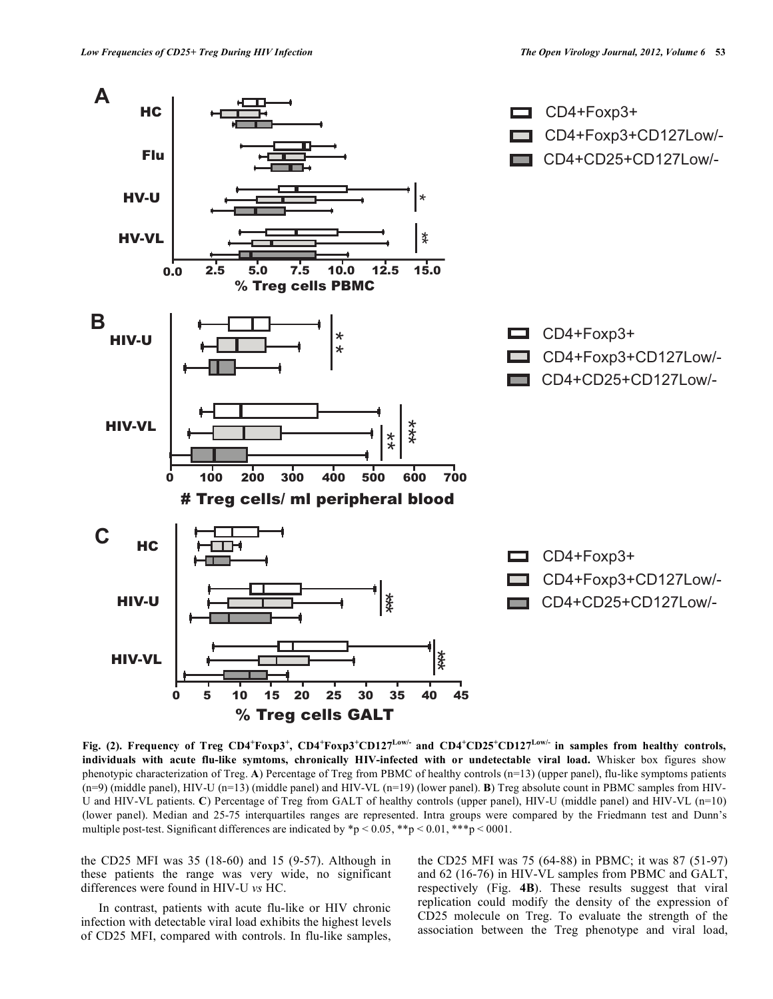

**Fig.** (2). Frequency of Treg CD4<sup>+</sup>Foxp3<sup>+</sup>, CD4<sup>+</sup>Foxp3<sup>+</sup>CD127<sup>Low/-</sup> and CD4<sup>+</sup>CD25<sup>+</sup>CD127<sup>Low/-</sup> in samples from healthy controls, **individuals with acute flu-like symtoms, chronically HIV-infected with or undetectable viral load.** Whisker box figures show phenotypic characterization of Treg. **A**) Percentage of Treg from PBMC of healthy controls (n=13) (upper panel), flu-like symptoms patients (n=9) (middle panel), HIV-U (n=13) (middle panel) and HIV-VL (n=19) (lower panel). **B**) Treg absolute count in PBMC samples from HIV-U and HIV-VL patients. **C**) Percentage of Treg from GALT of healthy controls (upper panel), HIV-U (middle panel) and HIV-VL (n=10) (lower panel). Median and 25-75 interquartiles ranges are represented. Intra groups were compared by the Friedmann test and Dunn's multiple post-test. Significant differences are indicated by  $\mathbf{\hat{p}} > 0.05$ ,  $\mathbf{\hat{p}} > 0.01$ ,  $\mathbf{\hat{p}} \cdot \mathbf{\hat{p}} > 0.001$ .

the CD25 MFI was 35 (18-60) and 15 (9-57). Although in these patients the range was very wide, no significant differences were found in HIV-U *vs* HC.

 In contrast, patients with acute flu-like or HIV chronic infection with detectable viral load exhibits the highest levels of CD25 MFI, compared with controls. In flu-like samples,

the CD25 MFI was 75 (64-88) in PBMC; it was 87 (51-97) and 62 (16-76) in HIV-VL samples from PBMC and GALT, respectively (Fig. **4B**). These results suggest that viral replication could modify the density of the expression of CD25 molecule on Treg. To evaluate the strength of the association between the Treg phenotype and viral load,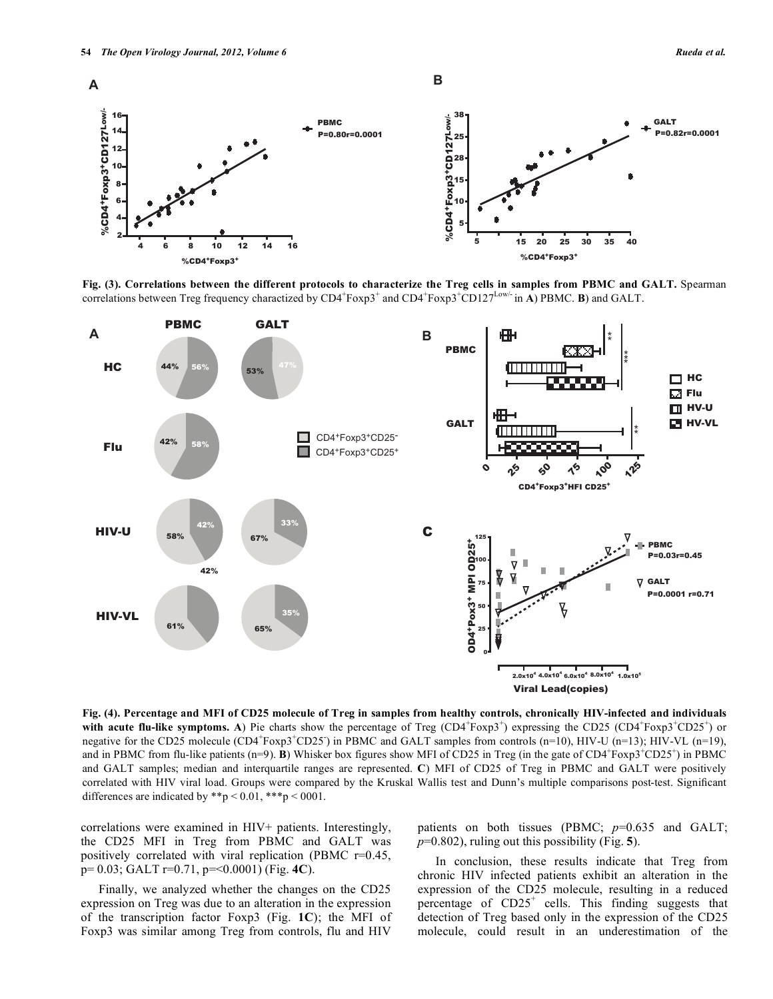

**Fig. (3). Correlations between the different protocols to characterize the Treg cells in samples from PBMC and GALT.** Spearman correlations between Treg frequency charactized by  $CD4^+F\exp 3^+$  and  $CD4^+F\exp 3^+CD127^{Low'}$  in **A**) PBMC. **B**) and GALT.



**Fig. (4). Percentage and MFI of CD25 molecule of Treg in samples from healthy controls, chronically HIV-infected and individuals**  with acute flu-like symptoms. A) Pie charts show the percentage of Treg  $(CD4+F\exp 3)$  expressing the CD25  $(CD4+F\exp 3+CD25)$  or negative for the CD25 molecule  $(CD4+F\exp 3+CD25)$  in PBMC and GALT samples from controls (n=10), HIV-U (n=13); HIV-VL (n=19), and in PBMC from flu-like patients  $(n=9)$ . **B**) Whisker box figures show MFI of CD25 in Treg (in the gate of CD4<sup>+</sup>Foxp3<sup>+</sup>CD25<sup>+</sup>) in PBMC and GALT samples; median and interquartile ranges are represented. **C**) MFI of CD25 of Treg in PBMC and GALT were positively correlated with HIV viral load. Groups were compared by the Kruskal Wallis test and Dunn's multiple comparisons post-test. Significant differences are indicated by \*\*p < 0.01, \*\*\*p < 0001.

correlations were examined in HIV+ patients. Interestingly, the CD25 MFI in Treg from PBMC and GALT was positively correlated with viral replication (PBMC r=0.45, p= 0.03; GALT r=0.71, p=<0.0001) (Fig. **4C**).

 Finally, we analyzed whether the changes on the CD25 expression on Treg was due to an alteration in the expression of the transcription factor Foxp3 (Fig. **1C**); the MFI of Foxp3 was similar among Treg from controls, flu and HIV

patients on both tissues (PBMC;  $p=0.635$  and GALT; *p*=0.802), ruling out this possibility (Fig. **5**).

 In conclusion, these results indicate that Treg from chronic HIV infected patients exhibit an alteration in the expression of the CD25 molecule, resulting in a reduced percentage of  $CD25<sup>+</sup>$  cells. This finding suggests that detection of Treg based only in the expression of the CD25 molecule, could result in an underestimation of the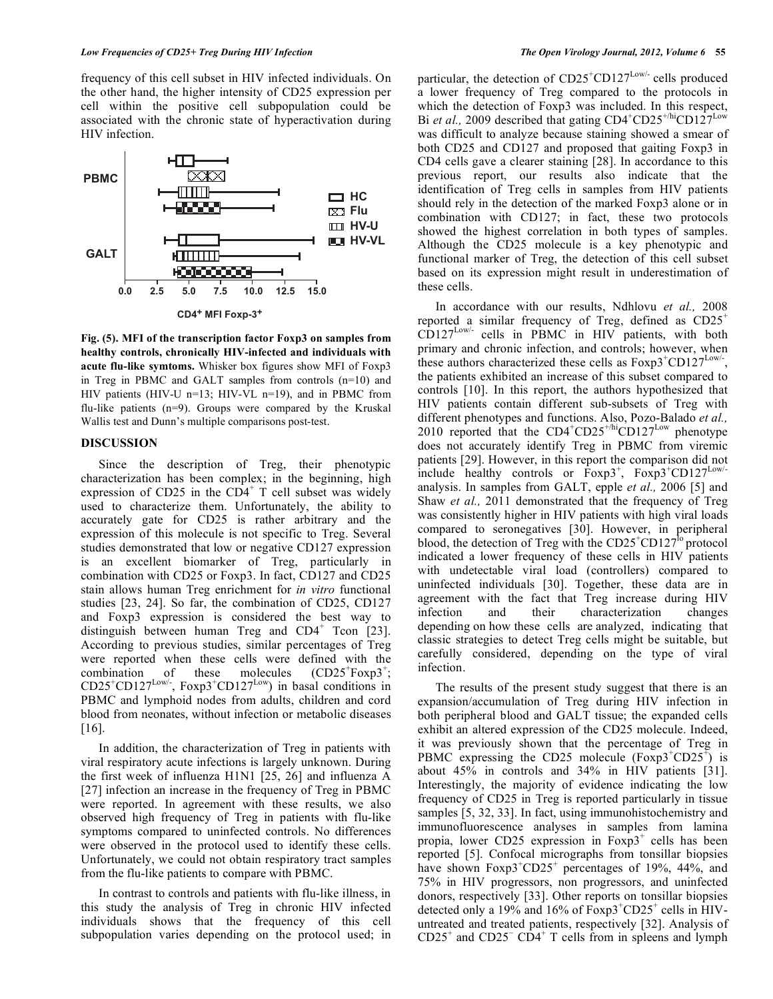frequency of this cell subset in HIV infected individuals. On the other hand, the higher intensity of CD25 expression per cell within the positive cell subpopulation could be associated with the chronic state of hyperactivation during HIV infection.



**Fig. (5). MFI of the transcription factor Foxp3 on samples from healthy controls, chronically HIV-infected and individuals with acute flu-like symtoms.** Whisker box figures show MFI of Foxp3 in Treg in PBMC and GALT samples from controls (n=10) and HIV patients (HIV-U n=13; HIV-VL n=19), and in PBMC from flu-like patients (n=9). Groups were compared by the Kruskal Wallis test and Dunn's multiple comparisons post-test.

# **DISCUSSION**

 Since the description of Treg, their phenotypic characterization has been complex; in the beginning, high expression of CD25 in the  $CD4^+$  T cell subset was widely used to characterize them. Unfortunately, the ability to accurately gate for CD25 is rather arbitrary and the expression of this molecule is not specific to Treg. Several studies demonstrated that low or negative CD127 expression is an excellent biomarker of Treg, particularly in combination with CD25 or Foxp3. In fact, CD127 and CD25 stain allows human Treg enrichment for *in vitro* functional studies [23, 24]. So far, the combination of CD25, CD127 and Foxp3 expression is considered the best way to distinguish between human Treg and  $CD4^+$  Tcon [23]. According to previous studies, similar percentages of Treg were reported when these cells were defined with the combination of these molecules (CD25<sup>+</sup> Foxp $3^{\ddagger}$ ;  $CD25^+CD127^{\text{Low/}}$ ,  $Foxp3^+CD127^{\text{Low}}$ ) in basal conditions in PBMC and lymphoid nodes from adults, children and cord blood from neonates, without infection or metabolic diseases [16].

 In addition, the characterization of Treg in patients with viral respiratory acute infections is largely unknown. During the first week of influenza H1N1 [25, 26] and influenza A [27] infection an increase in the frequency of Treg in PBMC were reported. In agreement with these results, we also observed high frequency of Treg in patients with flu-like symptoms compared to uninfected controls. No differences were observed in the protocol used to identify these cells. Unfortunately, we could not obtain respiratory tract samples from the flu-like patients to compare with PBMC.

 In contrast to controls and patients with flu-like illness, in this study the analysis of Treg in chronic HIV infected individuals shows that the frequency of this cell subpopulation varies depending on the protocol used; in

particular, the detection of  $CD25^{\circ}CD127^{\text{Low/-}}$  cells produced a lower frequency of Treg compared to the protocols in which the detection of Foxp3 was included. In this respect, Bi *et al.*, 2009 described that gating  $CD4^+CD25^{+/hi}CD127^{Low}$ was difficult to analyze because staining showed a smear of both CD25 and CD127 and proposed that gaiting Foxp3 in CD4 cells gave a clearer staining [28]. In accordance to this previous report, our results also indicate that the identification of Treg cells in samples from HIV patients should rely in the detection of the marked Foxp3 alone or in combination with CD127; in fact, these two protocols showed the highest correlation in both types of samples. Although the CD25 molecule is a key phenotypic and functional marker of Treg, the detection of this cell subset based on its expression might result in underestimation of these cells.

 In accordance with our results, Ndhlovu *et al.,* 2008 reported a similar frequency of Treg, defined as  $CD25<sup>+</sup>$  $CD127$ <sup>Low/-</sup> cells in PBMC in HIV patients, with both primary and chronic infection, and controls; however, when these authors characterized these cells as  $Foxp3$ <sup>+</sup>CD127<sup>Low/-</sup>, the patients exhibited an increase of this subset compared to controls [10]. In this report, the authors hypothesized that HIV patients contain different sub-subsets of Treg with different phenotypes and functions. Also, Pozo-Balado *et al.,* 2010 reported that the  $CD4+CD25+/hiCD127^{\text{Low}}$  phenotype does not accurately identify Treg in PBMC from viremic patients [29]. However, in this report the comparison did not include healthy controls or  $F\exp 3^+$ ,  $F\exp 3^+$ CD127<sup>Low/-</sup> analysis. In samples from GALT, epple *et al.,* 2006 [5] and Shaw *et al.,* 2011 demonstrated that the frequency of Treg was consistently higher in HIV patients with high viral loads compared to seronegatives [30]. However, in peripheral blood, the detection of Treg with the  $CD25^+CD127^{\text{lo}}$  protocol indicated a lower frequency of these cells in HIV patients with undetectable viral load (controllers) compared to uninfected individuals [30]. Together, these data are in agreement with the fact that Treg increase during HIV infection and their characterization changes depending on how these cells are analyzed, indicating that classic strategies to detect Treg cells might be suitable, but carefully considered, depending on the type of viral infection.

 The results of the present study suggest that there is an expansion/accumulation of Treg during HIV infection in both peripheral blood and GALT tissue; the expanded cells exhibit an altered expression of the CD25 molecule. Indeed, it was previously shown that the percentage of Treg in PBMC expressing the CD25 molecule  $(Foxp3+CD25^+)$  is about 45% in controls and 34% in HIV patients [31]. Interestingly, the majority of evidence indicating the low frequency of CD25 in Treg is reported particularly in tissue samples [5, 32, 33]. In fact, using immunohistochemistry and immunofluorescence analyses in samples from lamina propia, lower CD25 expression in Foxp3<sup>+</sup> cells has been reported [5]. Confocal micrographs from tonsillar biopsies have shown Foxp3<sup>+</sup>CD25<sup>+</sup> percentages of 19%, 44%, and 75% in HIV progressors, non progressors, and uninfected donors, respectively [33]. Other reports on tonsillar biopsies detected only a 19% and 16% of  $Foxp3+CD25$ <sup>+</sup> cells in HIVuntreated and treated patients, respectively [32]. Analysis of  $CD25<sup>+</sup>$  and  $CD25<sup>-</sup>$   $CD4<sup>+</sup>$  T cells from in spleens and lymph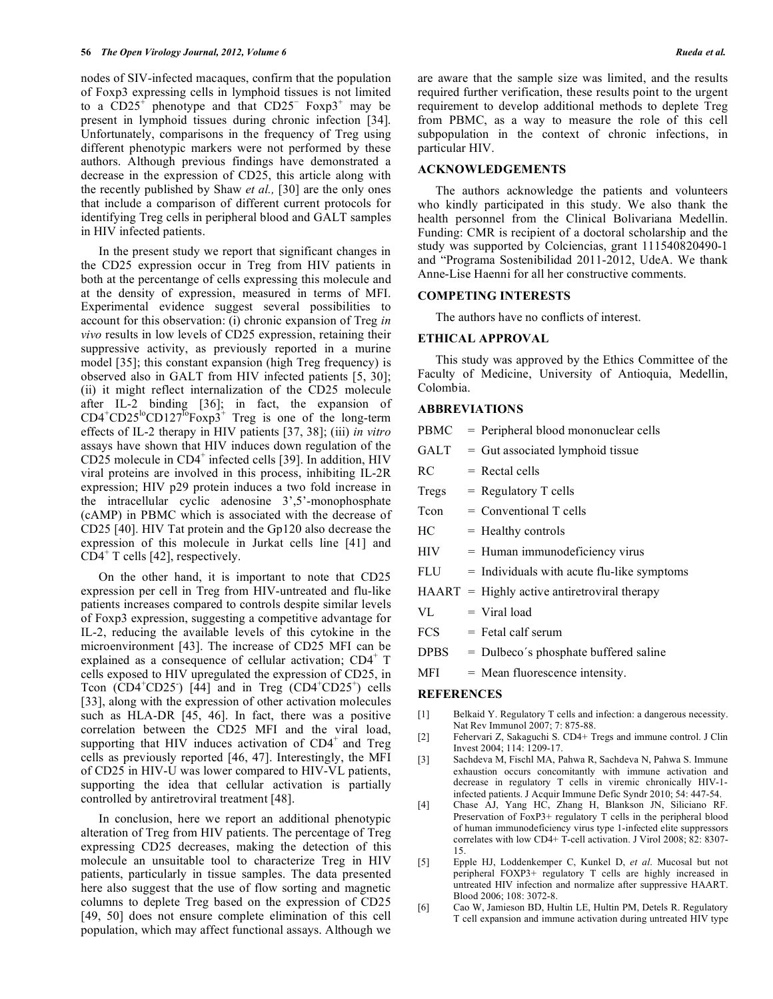nodes of SIV-infected macaques, confirm that the population of Foxp3 expressing cells in lymphoid tissues is not limited to a  $CD25<sup>+</sup>$  phenotype and that  $CD25<sup>-</sup>$  Foxp3<sup>+</sup> may be present in lymphoid tissues during chronic infection [34]. Unfortunately, comparisons in the frequency of Treg using different phenotypic markers were not performed by these authors. Although previous findings have demonstrated a decrease in the expression of CD25, this article along with the recently published by Shaw *et al.,* [30] are the only ones that include a comparison of different current protocols for identifying Treg cells in peripheral blood and GALT samples in HIV infected patients.

 In the present study we report that significant changes in the CD25 expression occur in Treg from HIV patients in both at the percentange of cells expressing this molecule and at the density of expression, measured in terms of MFI. Experimental evidence suggest several possibilities to account for this observation: (i) chronic expansion of Treg *in vivo* results in low levels of CD25 expression, retaining their suppressive activity, as previously reported in a murine model [35]; this constant expansion (high Treg frequency) is observed also in GALT from HIV infected patients [5, 30]; (ii) it might reflect internalization of the CD25 molecule after IL-2 binding [36]; in fact, the expansion of  $CD4^+CD25^{\text{lo}}CD127^{\text{lo}}Foxp3^+$  Treg is one of the long-term effects of IL-2 therapy in HIV patients [37, 38]; (iii) *in vitro* assays have shown that HIV induces down regulation of the CD25 molecule in CD4<sup>+</sup> infected cells [39]. In addition, HIV viral proteins are involved in this process, inhibiting IL-2R expression; HIV p29 protein induces a two fold increase in the intracellular cyclic adenosine 3',5'-monophosphate (cAMP) in PBMC which is associated with the decrease of CD25 [40]. HIV Tat protein and the Gp120 also decrease the expression of this molecule in Jurkat cells line [41] and  $CD4^+$  T cells [42], respectively.

 On the other hand, it is important to note that CD25 expression per cell in Treg from HIV-untreated and flu-like patients increases compared to controls despite similar levels of Foxp3 expression, suggesting a competitive advantage for IL-2, reducing the available levels of this cytokine in the microenvironment [43]. The increase of CD25 MFI can be explained as a consequence of cellular activation; CD4<sup>+</sup> T cells exposed to HIV upregulated the expression of CD25, in Tcon  $(CD4^+CD25)$  [44] and in Treg  $(CD4^+CD25^+)$  cells [33], along with the expression of other activation molecules such as HLA-DR [45, 46]. In fact, there was a positive correlation between the CD25 MFI and the viral load, supporting that HIV induces activation of  $CD4^+$  and Treg cells as previously reported [46, 47]. Interestingly, the MFI of CD25 in HIV-U was lower compared to HIV-VL patients, supporting the idea that cellular activation is partially controlled by antiretroviral treatment [48].

 In conclusion, here we report an additional phenotypic alteration of Treg from HIV patients. The percentage of Treg expressing CD25 decreases, making the detection of this molecule an unsuitable tool to characterize Treg in HIV patients, particularly in tissue samples. The data presented here also suggest that the use of flow sorting and magnetic columns to deplete Treg based on the expression of CD25 [49, 50] does not ensure complete elimination of this cell population, which may affect functional assays. Although we

are aware that the sample size was limited, and the results required further verification, these results point to the urgent requirement to develop additional methods to deplete Treg from PBMC, as a way to measure the role of this cell subpopulation in the context of chronic infections, in particular HIV.

# **ACKNOWLEDGEMENTS**

 The authors acknowledge the patients and volunteers who kindly participated in this study. We also thank the health personnel from the Clinical Bolivariana Medellin. Funding: CMR is recipient of a doctoral scholarship and the study was supported by Colciencias, grant 111540820490-1 and "Programa Sostenibilidad 2011-2012, UdeA. We thank Anne-Lise Haenni for all her constructive comments.

#### **COMPETING INTERESTS**

The authors have no conflicts of interest.

#### **ETHICAL APPROVAL**

 This study was approved by the Ethics Committee of the Faculty of Medicine, University of Antioquia, Medellin, Colombia.

# **ABBREVIATIONS**

- PBMC = Peripheral blood mononuclear cells
- $GALT = Gut$  associated lymphoid tissue
- $RC = \text{Rectal cells}$
- $Tregs = Regularory T cells$
- $Tcon = Conventional T cells$
- $HC = Healthy controls$
- $HIV = Human immunodeficiency virus$
- $FLU = Individuals with acute flu-like symptoms$
- $HAART = Highly active antiretroviral therapy$
- $VL = Viral load$
- $FCS = \text{Fetal } \text{calf} \text{ serum}$
- DPBS = Dulbeco´s phosphate buffered saline
- MFI = Mean fluorescence intensity.

# **REFERENCES**

- [1] Belkaid Y. Regulatory T cells and infection: a dangerous necessity. Nat Rev Immunol 2007; 7: 875-88.
- [2] Fehervari Z, Sakaguchi S. CD4+ Tregs and immune control. J Clin Invest 2004; 114: 1209-17.
- [3] Sachdeva M, Fischl MA, Pahwa R, Sachdeva N, Pahwa S. Immune exhaustion occurs concomitantly with immune activation and decrease in regulatory T cells in viremic chronically HIV-1 infected patients. J Acquir Immune Defic Syndr 2010; 54: 447-54.
- [4] Chase AJ, Yang HC, Zhang H, Blankson JN, Siliciano RF. Preservation of FoxP3+ regulatory T cells in the peripheral blood of human immunodeficiency virus type 1-infected elite suppressors correlates with low CD4+ T-cell activation. J Virol 2008; 82: 8307- 15.
- [5] Epple HJ, Loddenkemper C, Kunkel D, *et al*. Mucosal but not peripheral FOXP3+ regulatory T cells are highly increased in untreated HIV infection and normalize after suppressive HAART. Blood 2006; 108: 3072-8.
- [6] Cao W, Jamieson BD, Hultin LE, Hultin PM, Detels R. Regulatory T cell expansion and immune activation during untreated HIV type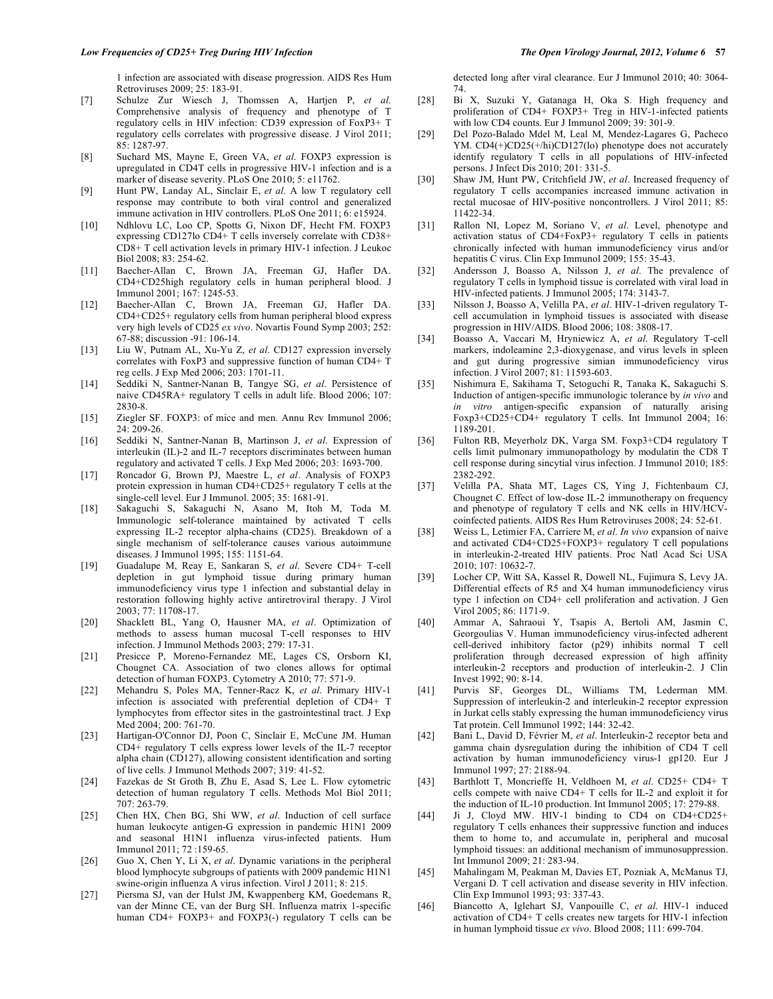1 infection are associated with disease progression. AIDS Res Hum Retroviruses 2009; 25: 183-91.

- [7] Schulze Zur Wiesch J, Thomssen A, Hartjen P, *et al*. Comprehensive analysis of frequency and phenotype of T regulatory cells in HIV infection: CD39 expression of FoxP3+ T regulatory cells correlates with progressive disease. J Virol 2011; 85: 1287-97.
- [8] Suchard MS, Mayne E, Green VA, *et al*. FOXP3 expression is upregulated in CD4T cells in progressive HIV-1 infection and is a marker of disease severity. PLoS One 2010; 5: e11762.
- [9] Hunt PW, Landay AL, Sinclair E, *et al*. A low T regulatory cell response may contribute to both viral control and generalized immune activation in HIV controllers. PLoS One 2011; 6: e15924.
- [10] Ndhlovu LC, Loo CP, Spotts G, Nixon DF, Hecht FM. FOXP3 expressing CD127lo CD4+ T cells inversely correlate with CD38+ CD8+ T cell activation levels in primary HIV-1 infection. J Leukoc Biol 2008; 83: 254-62.
- [11] Baecher-Allan C, Brown JA, Freeman GJ, Hafler DA. CD4+CD25high regulatory cells in human peripheral blood. J Immunol 2001; 167: 1245-53.
- [12] Baecher-Allan C, Brown JA, Freeman GJ, Hafler DA. CD4+CD25+ regulatory cells from human peripheral blood express very high levels of CD25 *ex vivo*. Novartis Found Symp 2003; 252: 67-88; discussion -91: 106-14.
- [13] Liu W, Putnam AL, Xu-Yu Z, *et al*. CD127 expression inversely correlates with FoxP3 and suppressive function of human CD4+ T reg cells. J Exp Med 2006; 203: 1701-11.
- [14] Seddiki N, Santner-Nanan B, Tangye SG, *et al*. Persistence of naive CD45RA+ regulatory T cells in adult life. Blood 2006; 107: 2830-8.
- [15] Ziegler SF. FOXP3: of mice and men. Annu Rev Immunol 2006; 24: 209-26.
- [16] Seddiki N, Santner-Nanan B, Martinson J, *et al*. Expression of interleukin (IL)-2 and IL-7 receptors discriminates between human regulatory and activated T cells. J Exp Med 2006; 203: 1693-700.
- [17] Roncador G, Brown PJ, Maestre L, *et al*. Analysis of FOXP3 protein expression in human CD4+CD25+ regulatory T cells at the single-cell level. Eur J Immunol. 2005; 35: 1681-91.
- [18] Sakaguchi S, Sakaguchi N, Asano M, Itoh M, Toda M. Immunologic self-tolerance maintained by activated T cells expressing IL-2 receptor alpha-chains (CD25). Breakdown of a single mechanism of self-tolerance causes various autoimmune diseases. J Immunol 1995; 155: 1151-64.
- [19] Guadalupe M, Reay E, Sankaran S, *et al*. Severe CD4+ T-cell depletion in gut lymphoid tissue during primary human immunodeficiency virus type 1 infection and substantial delay in restoration following highly active antiretroviral therapy. J Virol 2003; 77: 11708-17.
- [20] Shacklett BL, Yang O, Hausner MA, *et al*. Optimization of methods to assess human mucosal T-cell responses to HIV infection. J Immunol Methods 2003; 279: 17-31.
- [21] Presicce P, Moreno-Fernandez ME, Lages CS, Orsborn KI, Chougnet CA. Association of two clones allows for optimal detection of human FOXP3. Cytometry A 2010; 77: 571-9.
- [22] Mehandru S, Poles MA, Tenner-Racz K, *et al*. Primary HIV-1 infection is associated with preferential depletion of CD4+ T lymphocytes from effector sites in the gastrointestinal tract. J Exp Med 2004; 200: 761-70.
- [23] Hartigan-O'Connor DJ, Poon C, Sinclair E, McCune JM. Human CD4+ regulatory T cells express lower levels of the IL-7 receptor alpha chain (CD127), allowing consistent identification and sorting of live cells. J Immunol Methods 2007; 319: 41-52.
- [24] Fazekas de St Groth B, Zhu E, Asad S, Lee L. Flow cytometric detection of human regulatory T cells. Methods Mol Biol 2011; 707: 263-79.
- [25] Chen HX, Chen BG, Shi WW, *et al*. Induction of cell surface human leukocyte antigen-G expression in pandemic H1N1 2009 and seasonal H1N1 influenza virus-infected patients. Hum Immunol 2011; 72 :159-65.
- [26] Guo X, Chen Y, Li X, *et al*. Dynamic variations in the peripheral blood lymphocyte subgroups of patients with 2009 pandemic H1N1 swine-origin influenza A virus infection. Virol J 2011; 8: 215.
- [27] Piersma SJ, van der Hulst JM, Kwappenberg KM, Goedemans R, van der Minne CE, van der Burg SH. Influenza matrix 1-specific human CD4+ FOXP3+ and FOXP3(-) regulatory T cells can be

detected long after viral clearance. Eur J Immunol 2010; 40: 3064- 74.

- [28] Bi X, Suzuki Y, Gatanaga H, Oka S. High frequency and proliferation of CD4+ FOXP3+ Treg in HIV-1-infected patients with low CD4 counts. Eur J Immunol 2009; 39: 301-9.
- [29] Del Pozo-Balado Mdel M, Leal M, Mendez-Lagares G, Pacheco YM. CD4(+)CD25(+/hi)CD127(lo) phenotype does not accurately identify regulatory T cells in all populations of HIV-infected persons. J Infect Dis 2010; 201: 331-5.
- [30] Shaw JM, Hunt PW, Critchfield JW, *et al*. Increased frequency of regulatory T cells accompanies increased immune activation in rectal mucosae of HIV-positive noncontrollers. J Virol 2011; 85: 11422-34.
- [31] Rallon NI, Lopez M, Soriano V, *et al*. Level, phenotype and activation status of CD4+FoxP3+ regulatory T cells in patients chronically infected with human immunodeficiency virus and/or hepatitis C virus. Clin Exp Immunol 2009; 155: 35-43.
- [32] Andersson J, Boasso A, Nilsson J, *et al*. The prevalence of regulatory T cells in lymphoid tissue is correlated with viral load in HIV-infected patients. J Immunol 2005; 174: 3143-7.
- [33] Nilsson J, Boasso A, Velilla PA, *et al*. HIV-1-driven regulatory Tcell accumulation in lymphoid tissues is associated with disease progression in HIV/AIDS. Blood 2006; 108: 3808-17.
- [34] Boasso A, Vaccari M, Hryniewicz A, *et al*. Regulatory T-cell markers, indoleamine 2,3-dioxygenase, and virus levels in spleen and gut during progressive simian immunodeficiency virus infection. J Virol 2007; 81: 11593-603.
- [35] Nishimura E, Sakihama T, Setoguchi R, Tanaka K, Sakaguchi S. Induction of antigen-specific immunologic tolerance by *in vivo* and *in vitro* antigen-specific expansion of naturally arising Foxp3+CD25+CD4+ regulatory T cells. Int Immunol 2004; 16: 1189-201.
- [36] Fulton RB, Meyerholz DK, Varga SM. Foxp3+CD4 regulatory T cells limit pulmonary immunopathology by modulatin the CD8 T cell response during sincytial virus infection. J Immunol 2010; 185: 2382-292.
- [37] Velilla PA, Shata MT, Lages CS, Ying J, Fichtenbaum CJ, Chougnet C. Effect of low-dose IL-2 immunotherapy on frequency and phenotype of regulatory T cells and NK cells in HIV/HCVcoinfected patients. AIDS Res Hum Retroviruses 2008; 24: 52-61.
- [38] Weiss L, Letimier FA, Carriere M, *et al*. *In vivo* expansion of naive and activated CD4+CD25+FOXP3+ regulatory T cell populations in interleukin-2-treated HIV patients. Proc Natl Acad Sci USA 2010; 107: 10632-7.
- [39] Locher CP, Witt SA, Kassel R, Dowell NL, Fujimura S, Levy JA. Differential effects of R5 and X4 human immunodeficiency virus type 1 infection on CD4+ cell proliferation and activation. J Gen Virol 2005; 86: 1171-9.
- [40] Ammar A, Sahraoui Y, Tsapis A, Bertoli AM, Jasmin C, Georgoulias V. Human immunodeficiency virus-infected adherent cell-derived inhibitory factor (p29) inhibits normal T cell proliferation through decreased expression of high affinity interleukin-2 receptors and production of interleukin-2. J Clin Invest 1992; 90: 8-14.
- [41] Purvis SF, Georges DL, Williams TM, Lederman MM. Suppression of interleukin-2 and interleukin-2 receptor expression in Jurkat cells stably expressing the human immunodeficiency virus Tat protein. Cell Immunol 1992; 144: 32-42.
- [42] Bani L, David D, Février M, *et al*. Interleukin-2 receptor beta and gamma chain dysregulation during the inhibition of CD4 T cell activation by human immunodeficiency virus-1 gp120. Eur J Immunol 1997; 27: 2188-94.
- [43] Barthlott T, Moncrieffe H, Veldhoen M, *et al*. CD25+ CD4+ T cells compete with naive CD4+ T cells for IL-2 and exploit it for the induction of IL-10 production. Int Immunol 2005; 17: 279-88.
- [44] Ji J, Cloyd MW. HIV-1 binding to CD4 on CD4+CD25+ regulatory T cells enhances their suppressive function and induces them to home to, and accumulate in, peripheral and mucosal lymphoid tissues: an additional mechanism of immunosuppression. Int Immunol 2009; 21: 283-94.
- [45] Mahalingam M, Peakman M, Davies ET, Pozniak A, McManus TJ, Vergani D. T cell activation and disease severity in HIV infection. Clin Exp Immunol 1993; 93: 337-43.
- [46] Biancotto A, Iglehart SJ, Vanpouille C, *et al*. HIV-1 induced activation of CD4+ T cells creates new targets for HIV-1 infection in human lymphoid tissue *ex vivo*. Blood 2008; 111: 699-704.